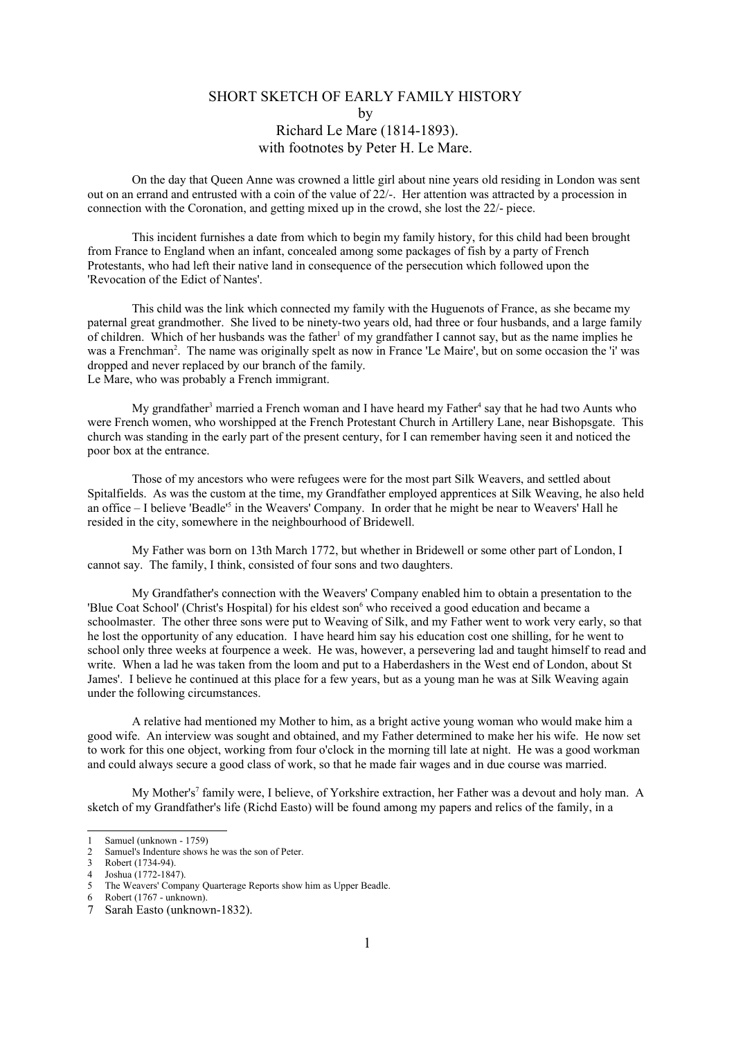## SHORT SKETCH OF EARLY FAMILY HISTORY by Richard Le Mare (1814-1893). with footnotes by Peter H. Le Mare.

On the day that Queen Anne was crowned a little girl about nine years old residing in London was sent out on an errand and entrusted with a coin of the value of 22/-. Her attention was attracted by a procession in connection with the Coronation, and getting mixed up in the crowd, she lost the 22/- piece.

This incident furnishes a date from which to begin my family history, for this child had been brought from France to England when an infant, concealed among some packages of fish by a party of French Protestants, who had left their native land in consequence of the persecution which followed upon the 'Revocation of the Edict of Nantes'.

This child was the link which connected my family with the Huguenots of France, as she became my paternal great grandmother. She lived to be ninety-two years old, had three or four husbands, and a large family of children. Which of her husbands was the father<sup>[1](#page-0-0)</sup> of my grandfather I cannot say, but as the name implies he was a Frenchman<sup>[2](#page-0-1)</sup>. The name was originally spelt as now in France 'Le Maire', but on some occasion the 'i' was dropped and never replaced by our branch of the family. Le Mare, who was probably a French immigrant.

My grandfather<sup>[3](#page-0-2)</sup> married a French woman and I have heard my Father<sup>[4](#page-0-3)</sup> say that he had two Aunts who were French women, who worshipped at the French Protestant Church in Artillery Lane, near Bishopsgate. This church was standing in the early part of the present century, for I can remember having seen it and noticed the poor box at the entrance.

Those of my ancestors who were refugees were for the most part Silk Weavers, and settled about Spitalfields. As was the custom at the time, my Grandfather employed apprentices at Silk Weaving, he also held an office – I believe 'Beadle'<sup>[5](#page-0-4)</sup> in the Weavers' Company. In order that he might be near to Weavers' Hall he resided in the city, somewhere in the neighbourhood of Bridewell.

My Father was born on 13th March 1772, but whether in Bridewell or some other part of London, I cannot say. The family, I think, consisted of four sons and two daughters.

My Grandfather's connection with the Weavers' Company enabled him to obtain a presentation to the 'Blue Coat School' (Christ's Hospital) for his eldest son<sup>[6](#page-0-5)</sup> who received a good education and became a schoolmaster. The other three sons were put to Weaving of Silk, and my Father went to work very early, so that he lost the opportunity of any education. I have heard him say his education cost one shilling, for he went to school only three weeks at fourpence a week. He was, however, a persevering lad and taught himself to read and write. When a lad he was taken from the loom and put to a Haberdashers in the West end of London, about St James'. I believe he continued at this place for a few years, but as a young man he was at Silk Weaving again under the following circumstances.

A relative had mentioned my Mother to him, as a bright active young woman who would make him a good wife. An interview was sought and obtained, and my Father determined to make her his wife. He now set to work for this one object, working from four o'clock in the morning till late at night. He was a good workman and could always secure a good class of work, so that he made fair wages and in due course was married.

My Mother's<sup>[7](#page-0-6)</sup> family were, I believe, of Yorkshire extraction, her Father was a devout and holy man. A sketch of my Grandfather's life (Richd Easto) will be found among my papers and relics of the family, in a

<span id="page-0-0"></span><sup>1</sup> Samuel (unknown - 1759)

<span id="page-0-1"></span><sup>2</sup> Samuel's Indenture shows he was the son of Peter.

<span id="page-0-2"></span><sup>3</sup> Robert (1734-94).

<span id="page-0-3"></span><sup>4</sup> Joshua (1772-1847).<br>5 The Weavers' Comm

<span id="page-0-4"></span>The Weavers' Company Quarterage Reports show him as Upper Beadle.

<span id="page-0-5"></span><sup>6</sup> Robert (1767 - unknown).

<span id="page-0-6"></span><sup>7</sup> Sarah Easto (unknown-1832).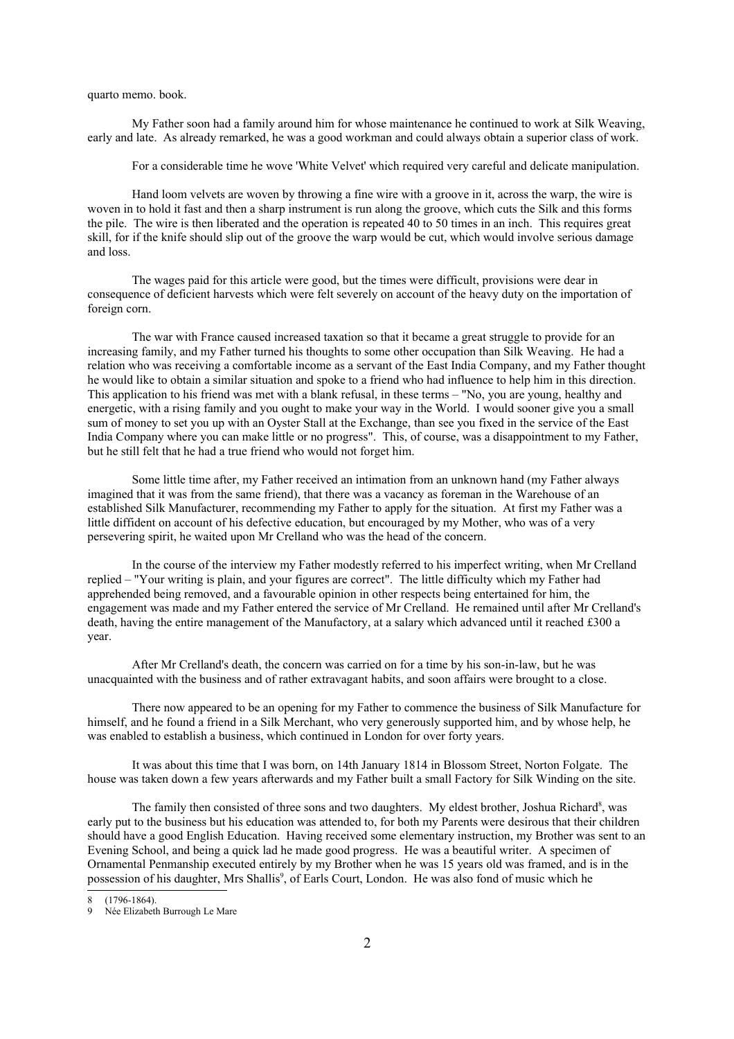quarto memo. book.

My Father soon had a family around him for whose maintenance he continued to work at Silk Weaving, early and late. As already remarked, he was a good workman and could always obtain a superior class of work.

For a considerable time he wove 'White Velvet' which required very careful and delicate manipulation.

Hand loom velvets are woven by throwing a fine wire with a groove in it, across the warp, the wire is woven in to hold it fast and then a sharp instrument is run along the groove, which cuts the Silk and this forms the pile. The wire is then liberated and the operation is repeated 40 to 50 times in an inch. This requires great skill, for if the knife should slip out of the groove the warp would be cut, which would involve serious damage and loss.

The wages paid for this article were good, but the times were difficult, provisions were dear in consequence of deficient harvests which were felt severely on account of the heavy duty on the importation of foreign corn.

The war with France caused increased taxation so that it became a great struggle to provide for an increasing family, and my Father turned his thoughts to some other occupation than Silk Weaving. He had a relation who was receiving a comfortable income as a servant of the East India Company, and my Father thought he would like to obtain a similar situation and spoke to a friend who had influence to help him in this direction. This application to his friend was met with a blank refusal, in these terms – "No, you are young, healthy and energetic, with a rising family and you ought to make your way in the World. I would sooner give you a small sum of money to set you up with an Oyster Stall at the Exchange, than see you fixed in the service of the East India Company where you can make little or no progress". This, of course, was a disappointment to my Father, but he still felt that he had a true friend who would not forget him.

Some little time after, my Father received an intimation from an unknown hand (my Father always imagined that it was from the same friend), that there was a vacancy as foreman in the Warehouse of an established Silk Manufacturer, recommending my Father to apply for the situation. At first my Father was a little diffident on account of his defective education, but encouraged by my Mother, who was of a very persevering spirit, he waited upon Mr Crelland who was the head of the concern.

In the course of the interview my Father modestly referred to his imperfect writing, when Mr Crelland replied – "Your writing is plain, and your figures are correct". The little difficulty which my Father had apprehended being removed, and a favourable opinion in other respects being entertained for him, the engagement was made and my Father entered the service of Mr Crelland. He remained until after Mr Crelland's death, having the entire management of the Manufactory, at a salary which advanced until it reached £300 a year.

After Mr Crelland's death, the concern was carried on for a time by his son-in-law, but he was unacquainted with the business and of rather extravagant habits, and soon affairs were brought to a close.

There now appeared to be an opening for my Father to commence the business of Silk Manufacture for himself, and he found a friend in a Silk Merchant, who very generously supported him, and by whose help, he was enabled to establish a business, which continued in London for over forty years.

It was about this time that I was born, on 14th January 1814 in Blossom Street, Norton Folgate. The house was taken down a few years afterwards and my Father built a small Factory for Silk Winding on the site.

The family then consisted of three sons and two daughters. My eldest brother, Joshua Richard<sup>[8](#page-1-0)</sup>, was early put to the business but his education was attended to, for both my Parents were desirous that their children should have a good English Education. Having received some elementary instruction, my Brother was sent to an Evening School, and being a quick lad he made good progress. He was a beautiful writer. A specimen of Ornamental Penmanship executed entirely by my Brother when he was 15 years old was framed, and is in the possession of his daughter, Mrs Shallis<sup>[9](#page-1-1)</sup>, of Earls Court, London. He was also fond of music which he

<span id="page-1-0"></span> $(1796-1864)$ .

<span id="page-1-1"></span>Née Elizabeth Burrough Le Mare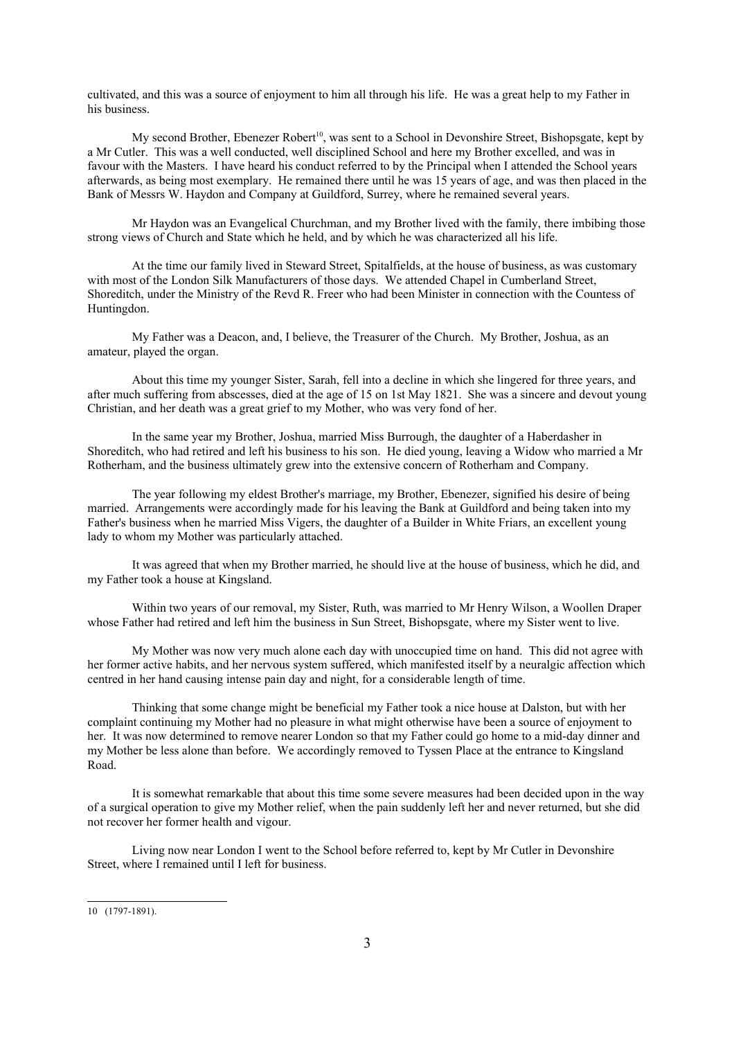cultivated, and this was a source of enjoyment to him all through his life. He was a great help to my Father in his business.

My second Brother, Ebenezer Robert<sup>[10](#page-2-0)</sup>, was sent to a School in Devonshire Street, Bishopsgate, kept by a Mr Cutler. This was a well conducted, well disciplined School and here my Brother excelled, and was in favour with the Masters. I have heard his conduct referred to by the Principal when I attended the School years afterwards, as being most exemplary. He remained there until he was 15 years of age, and was then placed in the Bank of Messrs W. Haydon and Company at Guildford, Surrey, where he remained several years.

Mr Haydon was an Evangelical Churchman, and my Brother lived with the family, there imbibing those strong views of Church and State which he held, and by which he was characterized all his life.

At the time our family lived in Steward Street, Spitalfields, at the house of business, as was customary with most of the London Silk Manufacturers of those days. We attended Chapel in Cumberland Street, Shoreditch, under the Ministry of the Revd R. Freer who had been Minister in connection with the Countess of Huntingdon.

My Father was a Deacon, and, I believe, the Treasurer of the Church. My Brother, Joshua, as an amateur, played the organ.

About this time my younger Sister, Sarah, fell into a decline in which she lingered for three years, and after much suffering from abscesses, died at the age of 15 on 1st May 1821. She was a sincere and devout young Christian, and her death was a great grief to my Mother, who was very fond of her.

In the same year my Brother, Joshua, married Miss Burrough, the daughter of a Haberdasher in Shoreditch, who had retired and left his business to his son. He died young, leaving a Widow who married a Mr Rotherham, and the business ultimately grew into the extensive concern of Rotherham and Company.

The year following my eldest Brother's marriage, my Brother, Ebenezer, signified his desire of being married. Arrangements were accordingly made for his leaving the Bank at Guildford and being taken into my Father's business when he married Miss Vigers, the daughter of a Builder in White Friars, an excellent young lady to whom my Mother was particularly attached.

It was agreed that when my Brother married, he should live at the house of business, which he did, and my Father took a house at Kingsland.

Within two years of our removal, my Sister, Ruth, was married to Mr Henry Wilson, a Woollen Draper whose Father had retired and left him the business in Sun Street, Bishopsgate, where my Sister went to live.

My Mother was now very much alone each day with unoccupied time on hand. This did not agree with her former active habits, and her nervous system suffered, which manifested itself by a neuralgic affection which centred in her hand causing intense pain day and night, for a considerable length of time.

Thinking that some change might be beneficial my Father took a nice house at Dalston, but with her complaint continuing my Mother had no pleasure in what might otherwise have been a source of enjoyment to her. It was now determined to remove nearer London so that my Father could go home to a mid-day dinner and my Mother be less alone than before. We accordingly removed to Tyssen Place at the entrance to Kingsland Road.

It is somewhat remarkable that about this time some severe measures had been decided upon in the way of a surgical operation to give my Mother relief, when the pain suddenly left her and never returned, but she did not recover her former health and vigour.

Living now near London I went to the School before referred to, kept by Mr Cutler in Devonshire Street, where I remained until I left for business.

<span id="page-2-0"></span><sup>10</sup> (1797-1891).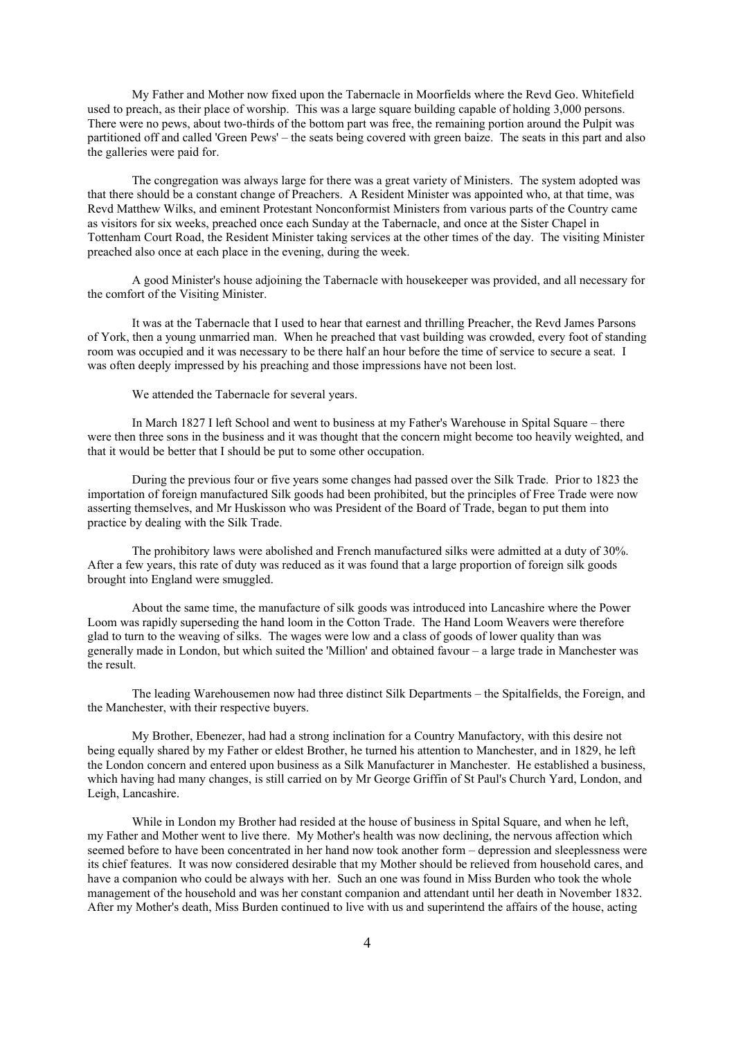My Father and Mother now fixed upon the Tabernacle in Moorfields where the Revd Geo. Whitefield used to preach, as their place of worship. This was a large square building capable of holding 3,000 persons. There were no pews, about two-thirds of the bottom part was free, the remaining portion around the Pulpit was partitioned off and called 'Green Pews' – the seats being covered with green baize. The seats in this part and also the galleries were paid for.

The congregation was always large for there was a great variety of Ministers. The system adopted was that there should be a constant change of Preachers. A Resident Minister was appointed who, at that time, was Revd Matthew Wilks, and eminent Protestant Nonconformist Ministers from various parts of the Country came as visitors for six weeks, preached once each Sunday at the Tabernacle, and once at the Sister Chapel in Tottenham Court Road, the Resident Minister taking services at the other times of the day. The visiting Minister preached also once at each place in the evening, during the week.

A good Minister's house adjoining the Tabernacle with housekeeper was provided, and all necessary for the comfort of the Visiting Minister.

It was at the Tabernacle that I used to hear that earnest and thrilling Preacher, the Revd James Parsons of York, then a young unmarried man. When he preached that vast building was crowded, every foot of standing room was occupied and it was necessary to be there half an hour before the time of service to secure a seat. I was often deeply impressed by his preaching and those impressions have not been lost.

We attended the Tabernacle for several years.

In March 1827 I left School and went to business at my Father's Warehouse in Spital Square – there were then three sons in the business and it was thought that the concern might become too heavily weighted, and that it would be better that I should be put to some other occupation.

During the previous four or five years some changes had passed over the Silk Trade. Prior to 1823 the importation of foreign manufactured Silk goods had been prohibited, but the principles of Free Trade were now asserting themselves, and Mr Huskisson who was President of the Board of Trade, began to put them into practice by dealing with the Silk Trade.

The prohibitory laws were abolished and French manufactured silks were admitted at a duty of 30%. After a few years, this rate of duty was reduced as it was found that a large proportion of foreign silk goods brought into England were smuggled.

About the same time, the manufacture of silk goods was introduced into Lancashire where the Power Loom was rapidly superseding the hand loom in the Cotton Trade. The Hand Loom Weavers were therefore glad to turn to the weaving of silks. The wages were low and a class of goods of lower quality than was generally made in London, but which suited the 'Million' and obtained favour – a large trade in Manchester was the result.

The leading Warehousemen now had three distinct Silk Departments – the Spitalfields, the Foreign, and the Manchester, with their respective buyers.

My Brother, Ebenezer, had had a strong inclination for a Country Manufactory, with this desire not being equally shared by my Father or eldest Brother, he turned his attention to Manchester, and in 1829, he left the London concern and entered upon business as a Silk Manufacturer in Manchester. He established a business, which having had many changes, is still carried on by Mr George Griffin of St Paul's Church Yard, London, and Leigh, Lancashire.

While in London my Brother had resided at the house of business in Spital Square, and when he left, my Father and Mother went to live there. My Mother's health was now declining, the nervous affection which seemed before to have been concentrated in her hand now took another form – depression and sleeplessness were its chief features. It was now considered desirable that my Mother should be relieved from household cares, and have a companion who could be always with her. Such an one was found in Miss Burden who took the whole management of the household and was her constant companion and attendant until her death in November 1832. After my Mother's death, Miss Burden continued to live with us and superintend the affairs of the house, acting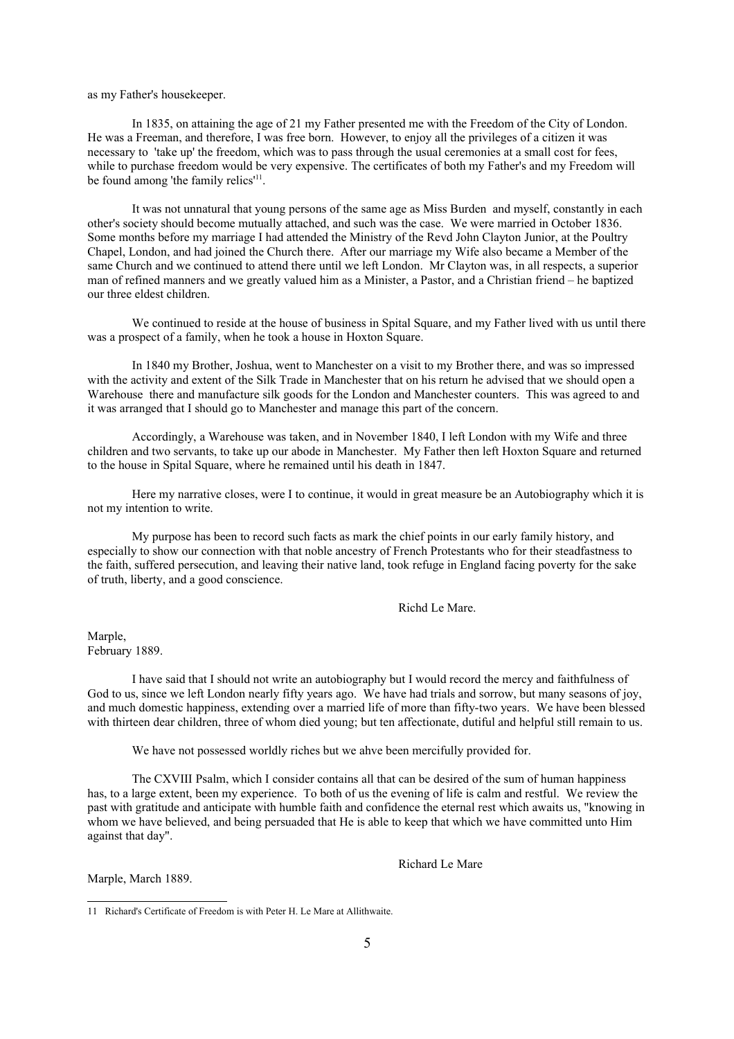as my Father's housekeeper.

In 1835, on attaining the age of 21 my Father presented me with the Freedom of the City of London. He was a Freeman, and therefore, I was free born. However, to enjoy all the privileges of a citizen it was necessary to 'take up' the freedom, which was to pass through the usual ceremonies at a small cost for fees, while to purchase freedom would be very expensive. The certificates of both my Father's and my Freedom will be found among 'the family relics'<sup>[11](#page-4-0)</sup>.

It was not unnatural that young persons of the same age as Miss Burden and myself, constantly in each other's society should become mutually attached, and such was the case. We were married in October 1836. Some months before my marriage I had attended the Ministry of the Revd John Clayton Junior, at the Poultry Chapel, London, and had joined the Church there. After our marriage my Wife also became a Member of the same Church and we continued to attend there until we left London. Mr Clayton was, in all respects, a superior man of refined manners and we greatly valued him as a Minister, a Pastor, and a Christian friend – he baptized our three eldest children.

We continued to reside at the house of business in Spital Square, and my Father lived with us until there was a prospect of a family, when he took a house in Hoxton Square.

In 1840 my Brother, Joshua, went to Manchester on a visit to my Brother there, and was so impressed with the activity and extent of the Silk Trade in Manchester that on his return he advised that we should open a Warehouse there and manufacture silk goods for the London and Manchester counters. This was agreed to and it was arranged that I should go to Manchester and manage this part of the concern.

Accordingly, a Warehouse was taken, and in November 1840, I left London with my Wife and three children and two servants, to take up our abode in Manchester. My Father then left Hoxton Square and returned to the house in Spital Square, where he remained until his death in 1847.

Here my narrative closes, were I to continue, it would in great measure be an Autobiography which it is not my intention to write.

My purpose has been to record such facts as mark the chief points in our early family history, and especially to show our connection with that noble ancestry of French Protestants who for their steadfastness to the faith, suffered persecution, and leaving their native land, took refuge in England facing poverty for the sake of truth, liberty, and a good conscience.

Richd Le Mare.

Marple, February 1889.

I have said that I should not write an autobiography but I would record the mercy and faithfulness of God to us, since we left London nearly fifty years ago. We have had trials and sorrow, but many seasons of joy, and much domestic happiness, extending over a married life of more than fifty-two years. We have been blessed with thirteen dear children, three of whom died young; but ten affectionate, dutiful and helpful still remain to us.

We have not possessed worldly riches but we ahve been mercifully provided for.

The CXVIII Psalm, which I consider contains all that can be desired of the sum of human happiness has, to a large extent, been my experience. To both of us the evening of life is calm and restful. We review the past with gratitude and anticipate with humble faith and confidence the eternal rest which awaits us, "knowing in whom we have believed, and being persuaded that He is able to keep that which we have committed unto Him against that day".

Richard Le Mare

Marple, March 1889.

<span id="page-4-0"></span><sup>11</sup> Richard's Certificate of Freedom is with Peter H. Le Mare at Allithwaite.